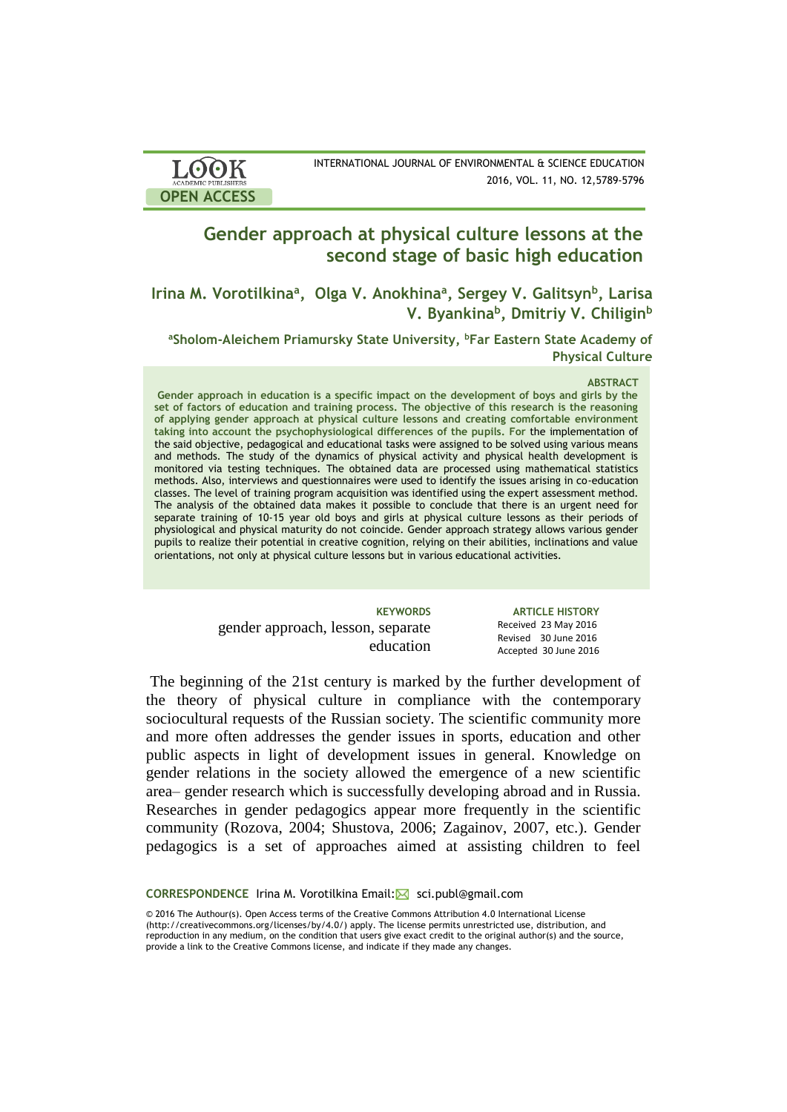| <b>LOOK</b>                | INTERNATIONAL JOURNAL OF ENVIRONMENTAL & SCIENCE EDUCATION |
|----------------------------|------------------------------------------------------------|
| <b>ACADEMIC PUBLISHERS</b> | 2016, VOL. 11, NO. 12,5789-5796                            |
| <b>OPEN ACCESS</b>         |                                                            |

# **Gender approach at physical culture lessons at the second stage of basic high education**

**Irina M. Vorotilkinа<sup>a</sup> , Olga V. Anokhina<sup>a</sup> , Sergey V. Galitsyn<sup>b</sup> , Larisa V. Byankina<sup>b</sup> , Dmitriy V. Chiligin<sup>b</sup>**

**<sup>a</sup>Sholom-Aleichem Priamursky State University, <sup>b</sup>Far Eastern State Academy of Physical Culture**

### **ABSTRACT**

Gender approach in education is a specific impact on the development of boys and girls by the **set of factors of education and training process. The objective of this research is the reasoning of applying gender approach at physical culture lessons and creating comfortable environment taking into account the psychophysiological differences of the pupils. For** the implementation of the said objective, pedagogical and educational tasks were assigned to be solved using various means the state of the state of the state of the state of the state of the state of the state of the state of the state of the and methods. The study of the dynamics of physical activity and physical health development is monitored via testing techniques. The obtained data are processed using mathematical statistics methods. Also, interviews and questionnaires were used to identify the issues arising in co-education classes. The level of training program acquisition was identified using the expert assessment method. The analysis of the obtained data makes it possible to conclude that there is an urgent need for separate training of 10-15 year old boys and girls at physical culture lessons as their periods of physiological and physical maturity do not coincide. Gender approach strategy allows various gender pupils to realize their potential in creative cognition, relying on their abilities, inclinations and value orientations, not only at physical culture lessons but in various educational activities.

> **KEYWORDS ARTICLE HISTORY** Received 23 May 2016 Revised 30 June 2016 Accepted 30 June 2016

gender approach, lesson, separate education

The beginning of the 21st century is marked by the further development of the theory of physical culture in compliance with the contemporary sociocultural requests of the Russian society. The scientific community more and more often addresses the gender issues in sports, education and other public aspects in light of development issues in general. Knowledge on gender relations in the society allowed the emergence of a new scientific area– gender research which is successfully developing abroad and in Russia. Researches in gender pedagogics appear more frequently in the scientific community (Rozova, 2004; Shustova, 2006; Zagainov, 2007, etc.). Gender pedagogics is a set of approaches aimed at assisting children to feel

CORRESPONDENCE Irina M. Vorotilkina Email:⊠ sci.publ@gmail.com

© 2016 The Authour(s). Open Access terms of the Creative Commons Attribution 4.0 International License (http://creativecommons.org/licenses/by/4.0/) apply. The license permits unrestricted use, distribution, and reproduction in any medium, on the condition that users give exact credit to the original author(s) and the source, provide a link to the Creative Commons license, and indicate if they made any changes.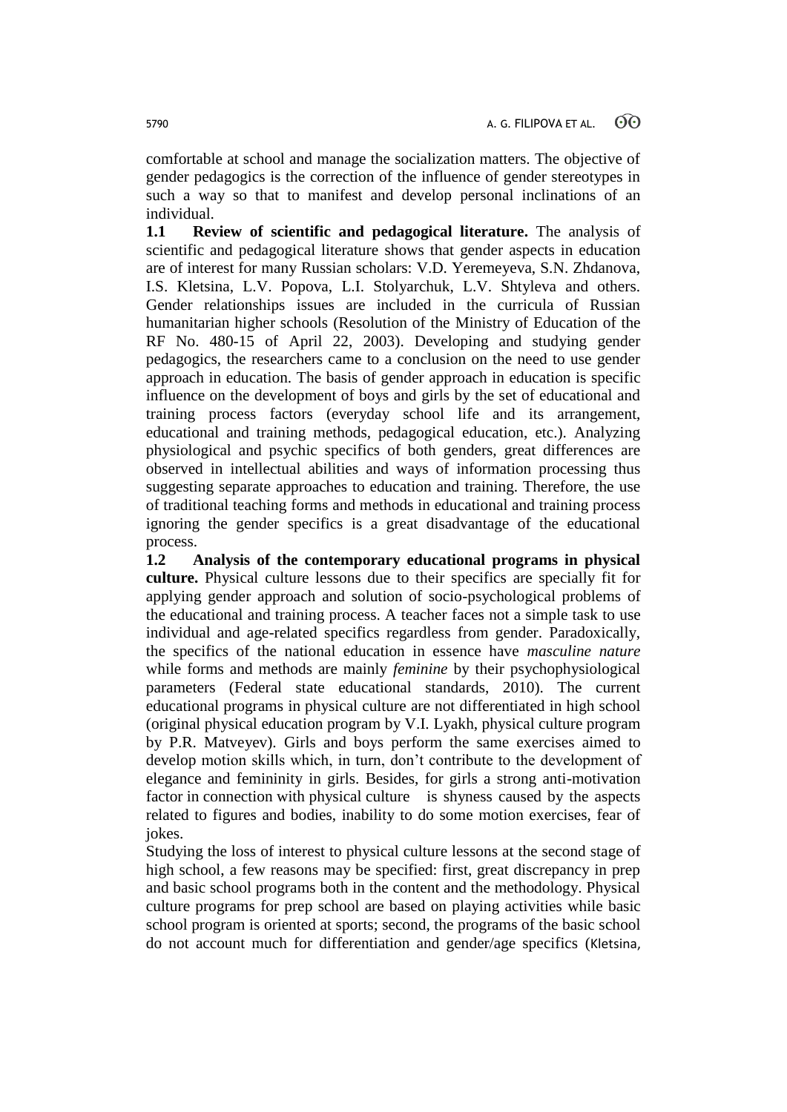comfortable at school and manage the socialization matters. The objective of gender pedagogics is the correction of the influence of gender stereotypes in such a way so that to manifest and develop personal inclinations of an individual.

**1.1 Review of scientific and pedagogical literature.** The analysis of scientific and pedagogical literature shows that gender aspects in education are of interest for many Russian scholars: V.D. Yeremeyeva, S.N. Zhdanova, I.S. Kletsina, L.V. Popova, L.I. Stolyarchuk, L.V. Shtyleva and others. Gender relationships issues are included in the curricula of Russian humanitarian higher schools (Resolution of the Ministry of Education of the RF No. 480-15 of April 22, 2003). Developing and studying gender pedagogics, the researchers came to a conclusion on the need to use gender approach in education. The basis of gender approach in education is specific influence on the development of boys and girls by the set of educational and training process factors (everyday school life and its arrangement, educational and training methods, pedagogical education, etc.). Analyzing physiological and psychic specifics of both genders, great differences are observed in intellectual abilities and ways of information processing thus suggesting separate approaches to education and training. Therefore, the use of traditional teaching forms and methods in educational and training process ignoring the gender specifics is a great disadvantage of the educational process.

**1.2 Analysis of the contemporary educational programs in physical culture.** Physical culture lessons due to their specifics are specially fit for applying gender approach and solution of socio-psychological problems of the educational and training process. A teacher faces not a simple task to use individual and age-related specifics regardless from gender. Paradoxically, the specifics of the national education in essence have *masculine nature* while forms and methods are mainly *feminine* by their psychophysiological parameters (Federal state educational standards, 2010). The current educational programs in physical culture are not differentiated in high school (original physical education program by V.I. Lyakh, physical culture program by P.R. Matveyev). Girls and boys perform the same exercises aimed to develop motion skills which, in turn, don't contribute to the development of elegance and femininity in girls. Besides, for girls a strong anti-motivation factor in connection with physical culture is shyness caused by the aspects related to figures and bodies, inability to do some motion exercises, fear of jokes.

Studying the loss of interest to physical culture lessons at the second stage of high school, a few reasons may be specified: first, great discrepancy in prep and basic school programs both in the content and the methodology. Physical culture programs for prep school are based on playing activities while basic school program is oriented at sports; second, the programs of the basic school do not account much for differentiation and gender/age specifics (Kletsina,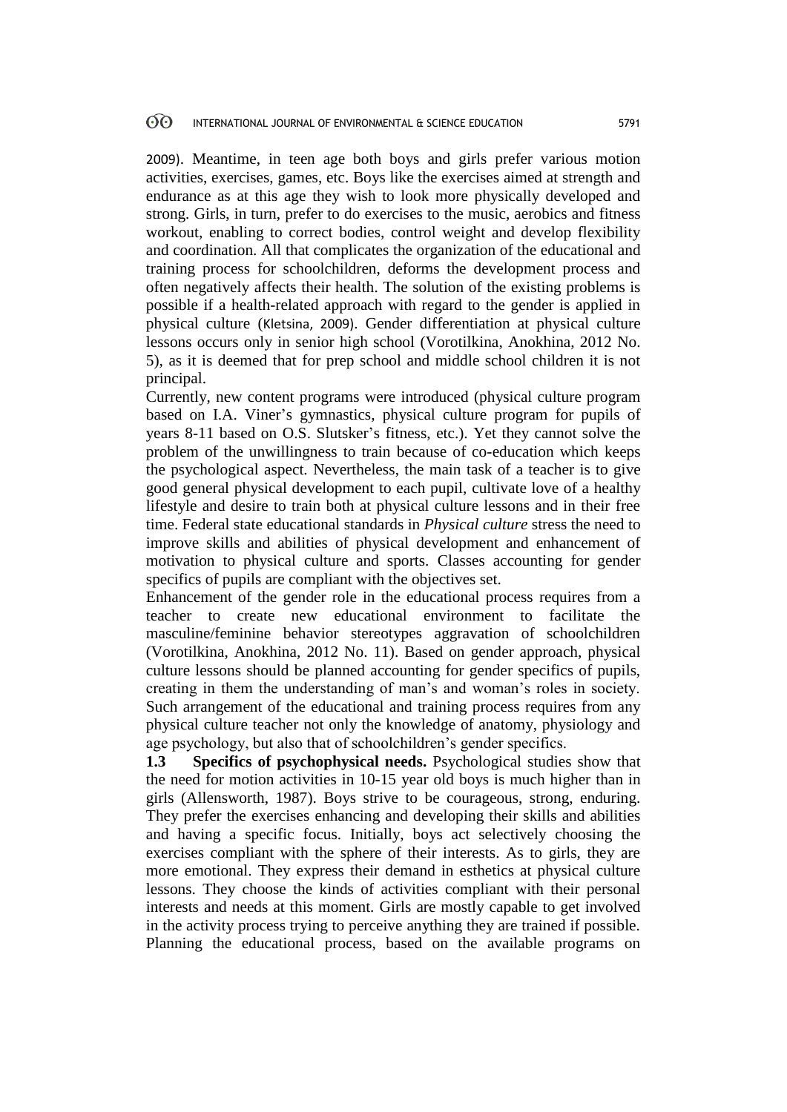2009). Meantime, in teen age both boys and girls prefer various motion activities, exercises, games, etc. Boys like the exercises aimed at strength and endurance as at this age they wish to look more physically developed and strong. Girls, in turn, prefer to do exercises to the music, aerobics and fitness workout, enabling to correct bodies, control weight and develop flexibility and coordination. All that complicates the organization of the educational and training process for schoolchildren, deforms the development process and often negatively affects their health. The solution of the existing problems is possible if a health-related approach with regard to the gender is applied in physical culture (Kletsina, 2009). Gender differentiation at physical culture lessons occurs only in senior high school (Vorotilkina, Anokhina, 2012 No. 5), as it is deemed that for prep school and middle school children it is not principal.

Currently, new content programs were introduced (physical culture program based on I.A. Viner's gymnastics, physical culture program for pupils of years 8-11 based on O.S. Slutsker's fitness, etc.). Yet they cannot solve the problem of the unwillingness to train because of co-education which keeps the psychological aspect. Nevertheless, the main task of a teacher is to give good general physical development to each pupil, cultivate love of a healthy lifestyle and desire to train both at physical culture lessons and in their free time. Federal state educational standards in *Physical culture* stress the need to improve skills and abilities of physical development and enhancement of motivation to physical culture and sports. Classes accounting for gender specifics of pupils are compliant with the objectives set.

Enhancement of the gender role in the educational process requires from a teacher to create new educational environment to facilitate the masculine/feminine behavior stereotypes aggravation of schoolchildren (Vorotilkina, Anokhina, 2012 No. 11). Based on gender approach, physical culture lessons should be planned accounting for gender specifics of pupils, creating in them the understanding of man's and woman's roles in society. Such arrangement of the educational and training process requires from any physical culture teacher not only the knowledge of anatomy, physiology and age psychology, but also that of schoolchildren's gender specifics.

**1.3 Specifics of psychophysical needs.** Psychological studies show that the need for motion activities in 10-15 year old boys is much higher than in girls (Allensworth, 1987). Boys strive to be courageous, strong, enduring. They prefer the exercises enhancing and developing their skills and abilities and having a specific focus. Initially, boys act selectively choosing the exercises compliant with the sphere of their interests. As to girls, they are more emotional. They express their demand in esthetics at physical culture lessons. They choose the kinds of activities compliant with their personal interests and needs at this moment. Girls are mostly capable to get involved in the activity process trying to perceive anything they are trained if possible. Planning the educational process, based on the available programs on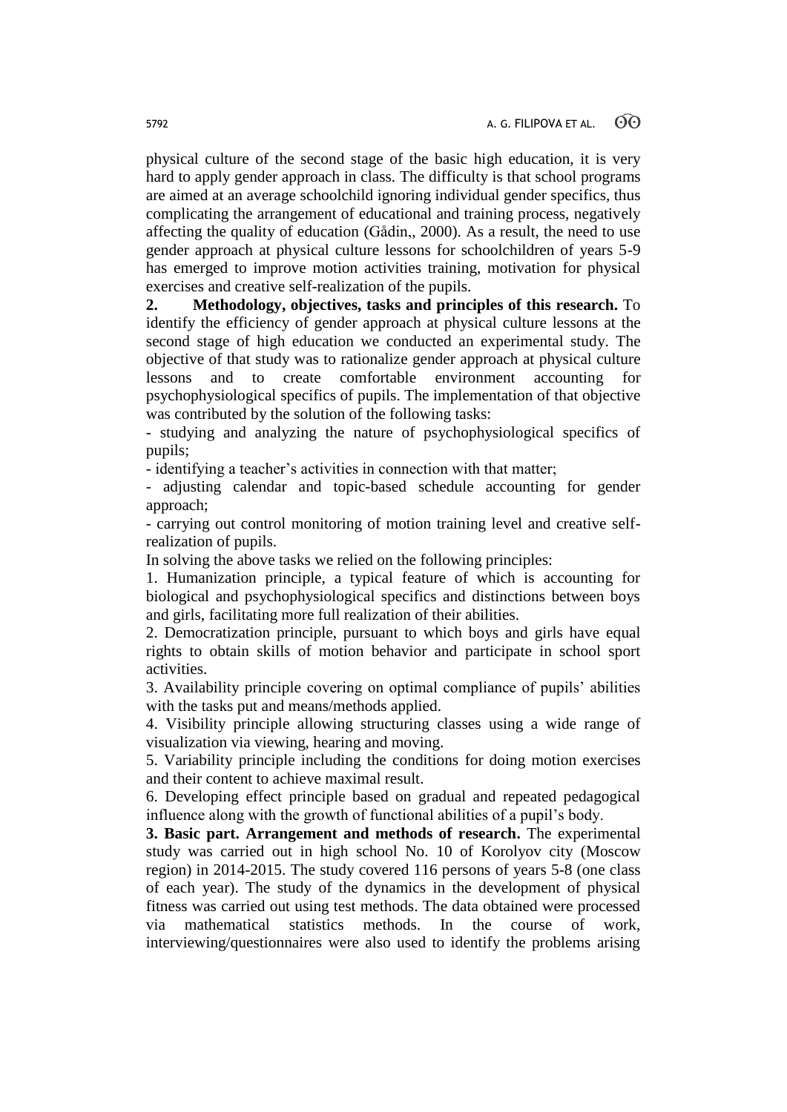physical culture of the second stage of the basic high education, it is very hard to apply gender approach in class. The difficulty is that school programs are aimed at an average schoolchild ignoring individual gender specifics, thus complicating the arrangement of educational and training process, negatively affecting the quality of education (Gådin,, 2000). As a result, the need to use gender approach at physical culture lessons for schoolchildren of years 5-9 has emerged to improve motion activities training, motivation for physical exercises and creative self-realization of the pupils.

**2. Methodology, objectives, tasks and principles of this research.** To identify the efficiency of gender approach at physical culture lessons at the second stage of high education we conducted an experimental study. The objective of that study was to rationalize gender approach at physical culture lessons and to create comfortable environment accounting for psychophysiological specifics of pupils. The implementation of that objective was contributed by the solution of the following tasks:

- studying and analyzing the nature of psychophysiological specifics of pupils;

- identifying a teacher's activities in connection with that matter;

- adjusting calendar and topic-based schedule accounting for gender approach;

- carrying out control monitoring of motion training level and creative selfrealization of pupils.

In solving the above tasks we relied on the following principles:

1. Humanization principle, a typical feature of which is accounting for biological and psychophysiological specifics and distinctions between boys and girls, facilitating more full realization of their abilities.

2. Democratization principle, pursuant to which boys and girls have equal rights to obtain skills of motion behavior and participate in school sport activities.

3. Availability principle covering on optimal compliance of pupils' abilities with the tasks put and means/methods applied.

4. Visibility principle allowing structuring classes using a wide range of visualization via viewing, hearing and moving.

5. Variability principle including the conditions for doing motion exercises and their content to achieve maximal result.

6. Developing effect principle based on gradual and repeated pedagogical influence along with the growth of functional abilities of a pupil's body.

**3. Basic part. Arrangement and methods of research.** The experimental study was carried out in high school No. 10 of Korolyov city (Moscow region) in 2014-2015. The study covered 116 persons of years 5-8 (one class of each year). The study of the dynamics in the development of physical fitness was carried out using test methods. The data obtained were processed via mathematical statistics methods. In the course of work, interviewing/questionnaires were also used to identify the problems arising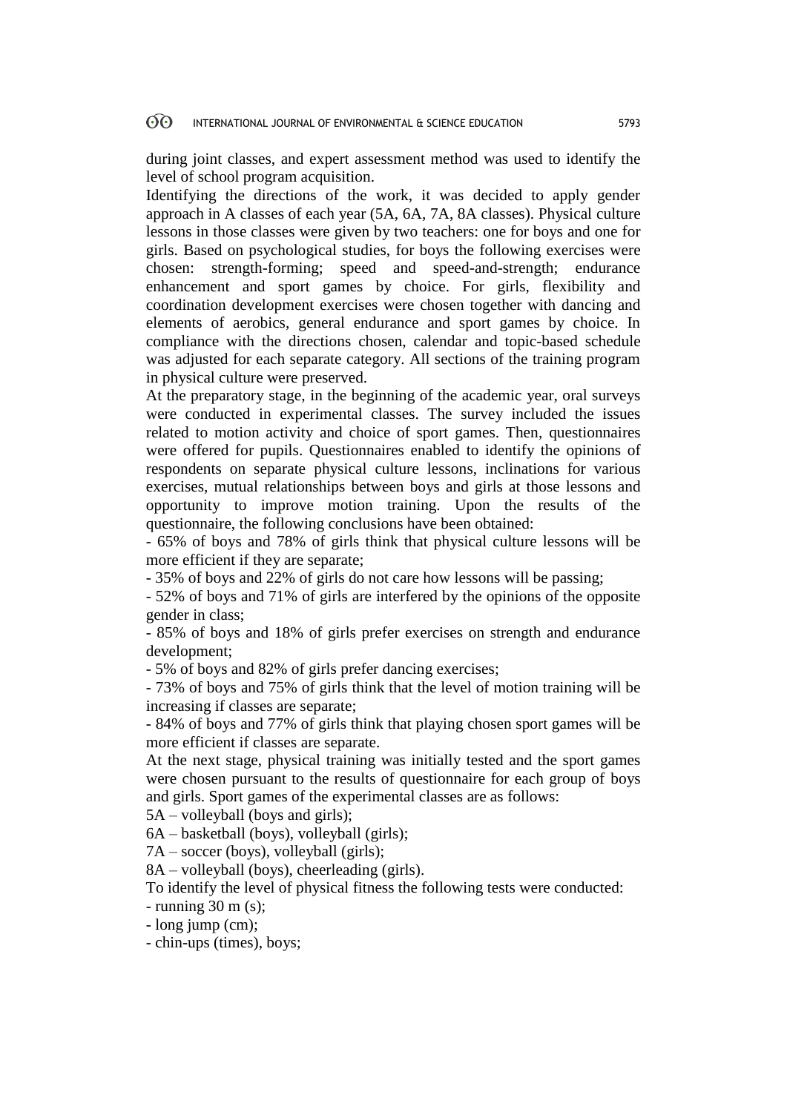#### $\Theta$ INTERNATIONAL JOURNAL OF ENVIRONMENTAL & SCIENCE EDUCATION 5793

during joint classes, and expert assessment method was used to identify the level of school program acquisition.

Identifying the directions of the work, it was decided to apply gender approach in A classes of each year (5A, 6A, 7A, 8A classes). Physical culture lessons in those classes were given by two teachers: one for boys and one for girls. Based on psychological studies, for boys the following exercises were chosen: strength-forming; speed and speed-and-strength; endurance enhancement and sport games by choice. For girls, flexibility and coordination development exercises were chosen together with dancing and elements of aerobics, general endurance and sport games by choice. In compliance with the directions chosen, calendar and topic-based schedule was adjusted for each separate category. All sections of the training program in physical culture were preserved.

At the preparatory stage, in the beginning of the academic year, oral surveys were conducted in experimental classes. The survey included the issues related to motion activity and choice of sport games. Then, questionnaires were offered for pupils. Questionnaires enabled to identify the opinions of respondents on separate physical culture lessons, inclinations for various exercises, mutual relationships between boys and girls at those lessons and opportunity to improve motion training. Upon the results of the questionnaire, the following conclusions have been obtained:

- 65% of boys and 78% of girls think that physical culture lessons will be more efficient if they are separate;

- 35% of boys and 22% of girls do not care how lessons will be passing;

- 52% of boys and 71% of girls are interfered by the opinions of the opposite gender in class;

- 85% of boys and 18% of girls prefer exercises on strength and endurance development;

- 5% of boys and 82% of girls prefer dancing exercises;

- 73% of boys and 75% of girls think that the level of motion training will be increasing if classes are separate;

- 84% of boys and 77% of girls think that playing chosen sport games will be more efficient if classes are separate.

At the next stage, physical training was initially tested and the sport games were chosen pursuant to the results of questionnaire for each group of boys and girls. Sport games of the experimental classes are as follows:

5A – volleyball (boys and girls);

6A – basketball (boys), volleyball (girls);

7A – soccer (boys), volleyball (girls);

8A – volleyball (boys), cheerleading (girls).

To identify the level of physical fitness the following tests were conducted:

- running 30 m (s);

- long jump (cm);

- chin-ups (times), boys;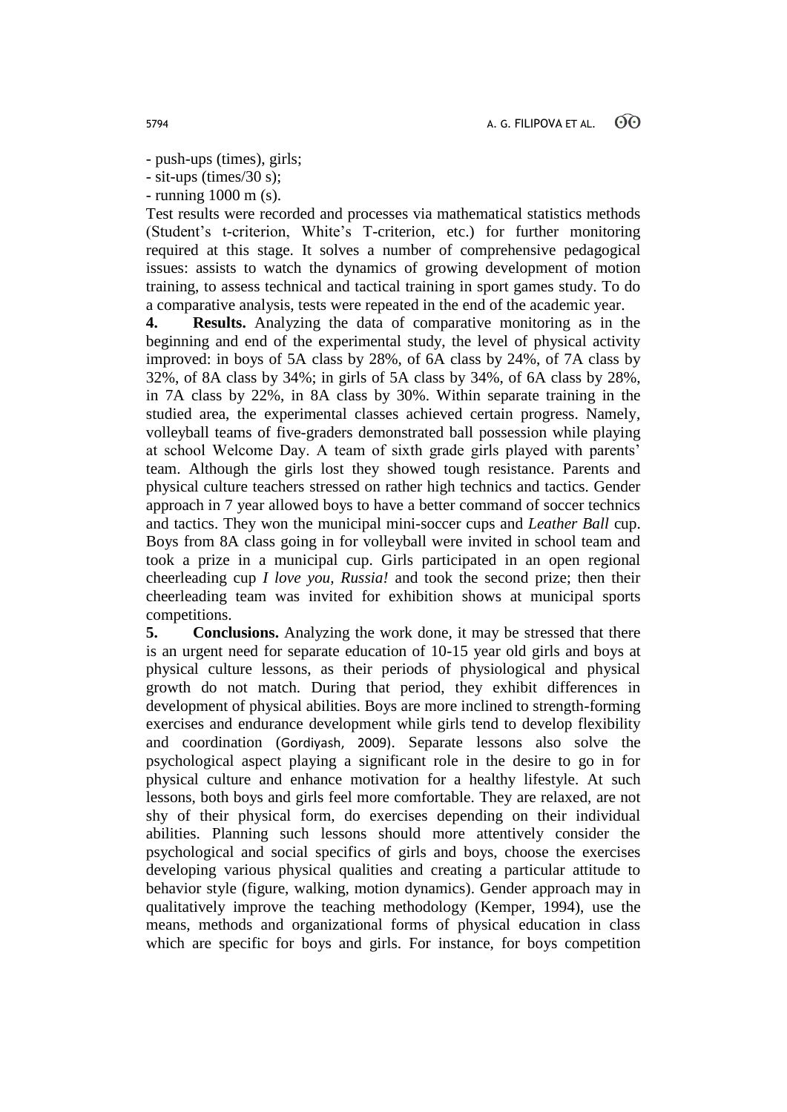- push-ups (times), girls;

- sit-ups (times/30 s);

- running 1000 m (s).

Test results were recorded and processes via mathematical statistics methods (Student's t-criterion, White's T-criterion, etc.) for further monitoring required at this stage. It solves a number of comprehensive pedagogical issues: assists to watch the dynamics of growing development of motion training, to assess technical and tactical training in sport games study. To do a comparative analysis, tests were repeated in the end of the academic year.

**4. Results.** Analyzing the data of comparative monitoring as in the beginning and end of the experimental study, the level of physical activity improved: in boys of 5A class by 28%, of 6A class by 24%, of 7A class by 32%, of 8A class by 34%; in girls of 5A class by 34%, of 6A class by 28%, in 7A class by 22%, in 8A class by 30%. Within separate training in the studied area, the experimental classes achieved certain progress. Namely, volleyball teams of five-graders demonstrated ball possession while playing at school Welcome Day. A team of sixth grade girls played with parents' team. Although the girls lost they showed tough resistance. Parents and physical culture teachers stressed on rather high technics and tactics. Gender approach in 7 year allowed boys to have a better command of soccer technics and tactics. They won the municipal mini-soccer cups and *Leather Ball* cup. Boys from 8A class going in for volleyball were invited in school team and took a prize in a municipal cup. Girls participated in an open regional cheerleading cup *I love you, Russia!* and took the second prize; then their cheerleading team was invited for exhibition shows at municipal sports competitions.

**5. Conclusions.** Analyzing the work done, it may be stressed that there is an urgent need for separate education of 10-15 year old girls and boys at physical culture lessons, as their periods of physiological and physical growth do not match. During that period, they exhibit differences in development of physical abilities. Boys are more inclined to strength-forming exercises and endurance development while girls tend to develop flexibility and coordination (Gordiyash, 2009). Separate lessons also solve the psychological aspect playing a significant role in the desire to go in for physical culture and enhance motivation for a healthy lifestyle. At such lessons, both boys and girls feel more comfortable. They are relaxed, are not shy of their physical form, do exercises depending on their individual abilities. Planning such lessons should more attentively consider the psychological and social specifics of girls and boys, choose the exercises developing various physical qualities and creating a particular attitude to behavior style (figure, walking, motion dynamics). Gender approach may in qualitatively improve the teaching methodology (Kemper, 1994), use the means, methods and organizational forms of physical education in class which are specific for boys and girls. For instance, for boys competition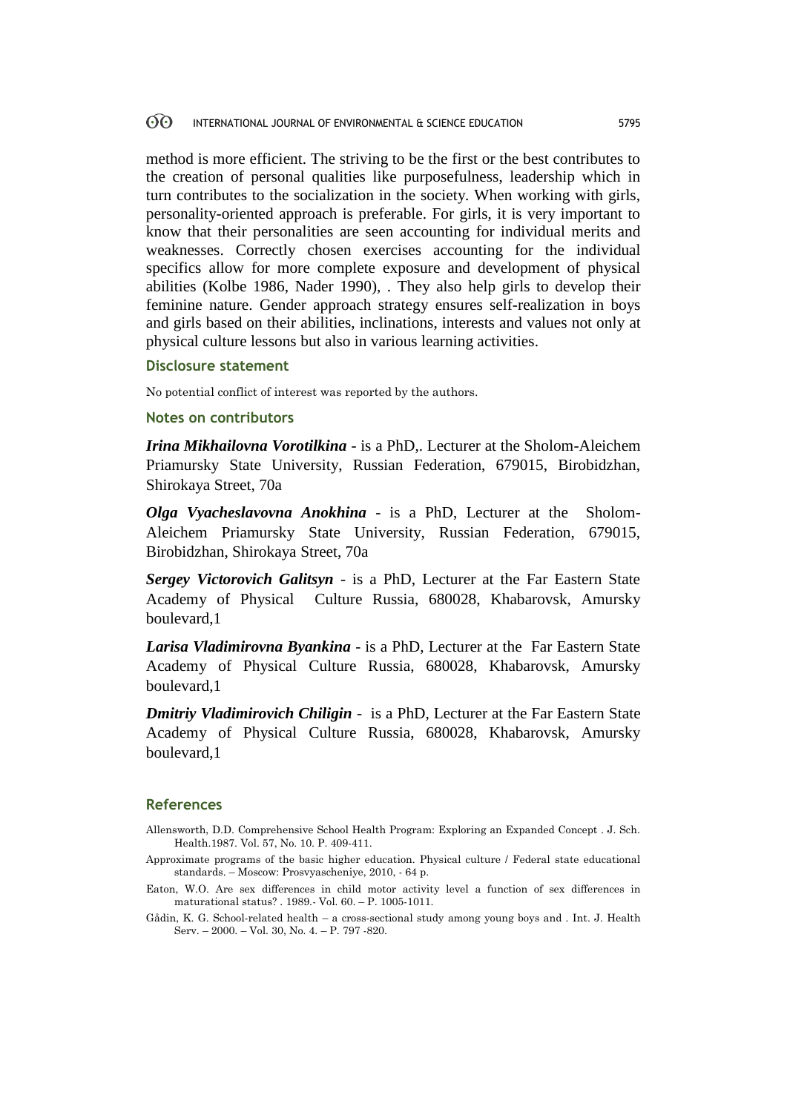#### $\Theta$ INTERNATIONAL JOURNAL OF ENVIRONMENTAL & SCIENCE EDUCATION 5795

method is more efficient. The striving to be the first or the best contributes to the creation of personal qualities like purposefulness, leadership which in turn contributes to the socialization in the society. When working with girls, personality-oriented approach is preferable. For girls, it is very important to know that their personalities are seen accounting for individual merits and weaknesses. Correctly chosen exercises accounting for the individual specifics allow for more complete exposure and development of physical abilities (Kolbe 1986, Nader 1990), . They also help girls to develop their feminine nature. Gender approach strategy ensures self-realization in boys and girls based on their abilities, inclinations, interests and values not only at physical culture lessons but also in various learning activities.

### **Disclosure statement**

No potential conflict of interest was reported by the authors.

# **Notes on contributors**

*Irina Mikhailovna Vorotilkina* - is a PhD,. Lecturer at the Sholom-Aleichem Priamursky State University, Russian Federation, 679015, Birobidzhan, Shirokaya Street, 70a

*Olga Vyacheslavovna Anokhina* - is a PhD, Lecturer at the Sholom-Aleichem Priamursky State University, Russian Federation, 679015, Birobidzhan, Shirokaya Street, 70a

*Sergey Victorovich Galitsyn* - is a PhD, Lecturer at the Far Eastern State Academy of Physical Culture Russia, 680028, Khabarovsk, Amursky boulevard,1

*Larisa Vladimirovna Byankina* - is a PhD, Lecturer at the Far Eastern State Academy of Physical Culture Russia, 680028, Khabarovsk, Amursky boulevard,1

*Dmitriy Vladimirovich Chiligin* - is a PhD, Lecturer at the Far Eastern State Academy of Physical Culture Russia, 680028, Khabarovsk, Amursky boulevard,1

# **References**

- Allensworth, D.D. Comprehensive School Health Program: Exploring an Expanded Concept . J. Sch. Health.1987. Vol. 57, No. 10. P. 409-411.
- Approximate programs of the basic higher education. Physical culture / Federal state educational standards. – Moscow: Prosvyascheniye, 2010, - 64 p.
- Eaton, W.O. Are sex differences in child motor activity level a function of sex differences in maturational status? . 1989.- Vol. 60. – P. 1005-1011.
- Gådin, K. G. School-related health a cross-sectional study among young boys and . Int. J. Health Serv. – 2000. – Vol. 30, No. 4. – Р. 797 -820.